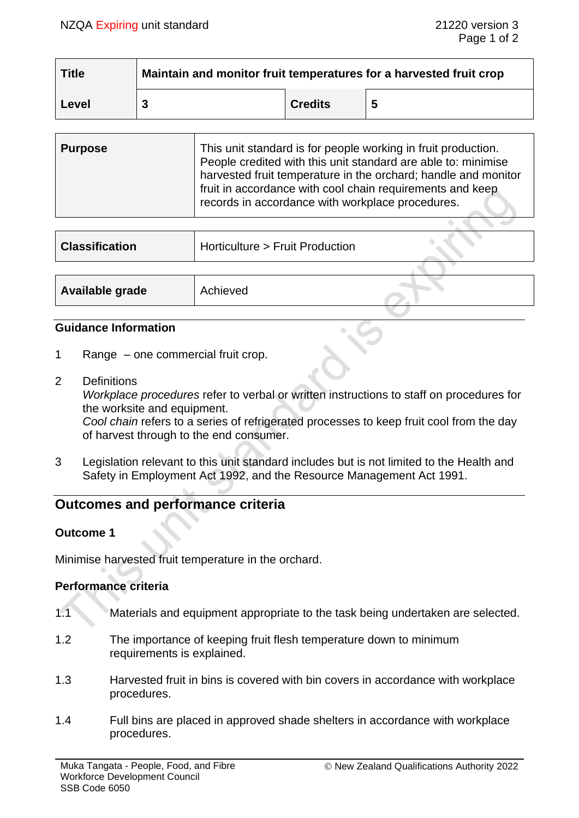| <b>Title</b> | Maintain and monitor fruit temperatures for a harvested fruit crop |                |  |  |
|--------------|--------------------------------------------------------------------|----------------|--|--|
| Level        |                                                                    | <b>Credits</b> |  |  |

| <b>Purpose</b> | This unit standard is for people working in fruit production.<br>People credited with this unit standard are able to: minimise<br>harvested fruit temperature in the orchard; handle and monitor<br>fruit in accordance with cool chain requirements and keep<br>records in accordance with workplace procedures. |
|----------------|-------------------------------------------------------------------------------------------------------------------------------------------------------------------------------------------------------------------------------------------------------------------------------------------------------------------|
|----------------|-------------------------------------------------------------------------------------------------------------------------------------------------------------------------------------------------------------------------------------------------------------------------------------------------------------------|

| <b>Classification</b> | Horticulture > Fruit Production |  |
|-----------------------|---------------------------------|--|
|                       |                                 |  |
| Available grade       | Achieved                        |  |

#### **Guidance Information**

- 1 Range one commercial fruit crop.
- 2 Definitions

*Workplace procedures* refer to verbal or written instructions to staff on procedures for the worksite and equipment.

*Cool chain* refers to a series of refrigerated processes to keep fruit cool from the day of harvest through to the end consumer.

3 Legislation relevant to this unit standard includes but is not limited to the Health and Safety in Employment Act 1992, and the Resource Management Act 1991.

# **Outcomes and performance criteria**

## **Outcome 1**

Minimise harvested fruit temperature in the orchard.

## **Performance criteria**

- 1.1 Materials and equipment appropriate to the task being undertaken are selected.
- 1.2 The importance of keeping fruit flesh temperature down to minimum requirements is explained.
- 1.3 Harvested fruit in bins is covered with bin covers in accordance with workplace procedures.
- 1.4 Full bins are placed in approved shade shelters in accordance with workplace procedures.